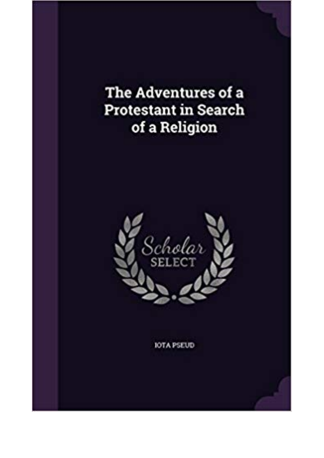The Adventures of a **Protestant in Search** of a Religion



**IOTA PSEUD**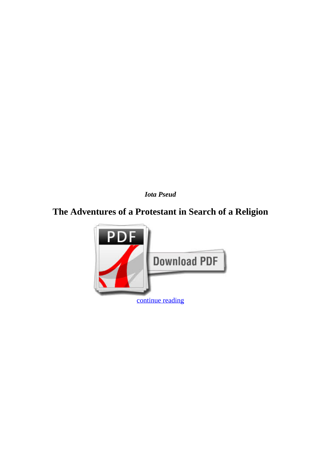*Iota Pseud*

## **The Adventures of a Protestant in Search of a Religion**

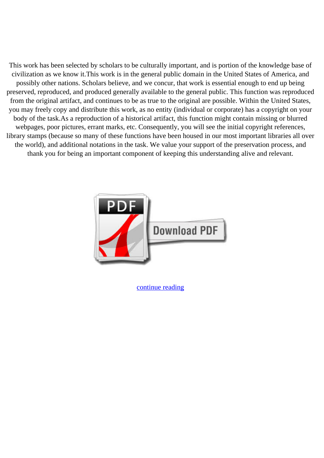This work has been selected by scholars to be culturally important, and is portion of the knowledge base of civilization as we know it.This work is in the general public domain in the United States of America, and possibly other nations. Scholars believe, and we concur, that work is essential enough to end up being preserved, reproduced, and produced generally available to the general public. This function was reproduced from the original artifact, and continues to be as true to the original are possible. Within the United States, you may freely copy and distribute this work, as no entity (individual or corporate) has a copyright on your body of the task.As a reproduction of a historical artifact, this function might contain missing or blurred webpages, poor pictures, errant marks, etc. Consequently, you will see the initial copyright references, library stamps (because so many of these functions have been housed in our most important libraries all over the world), and additional notations in the task. We value your support of the preservation process, and thank you for being an important component of keeping this understanding alive and relevant.



[continue reading](http://bit.ly/2Tge8Fv)